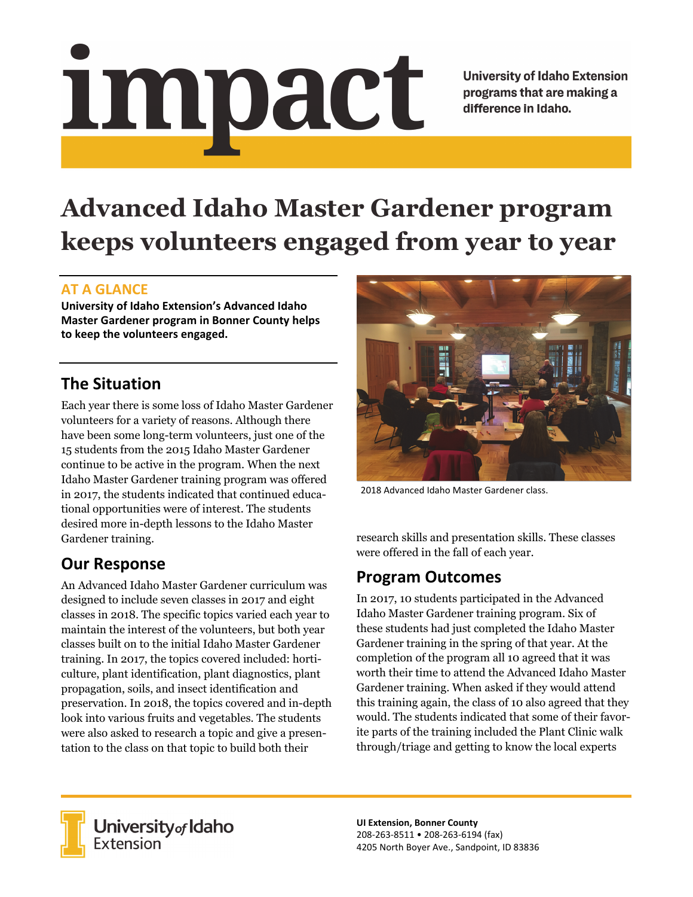# <u>impact</u>

**University of Idaho Extension** programs that are making a difference in Idaho.

# **Advanced Idaho Master Gardener program keeps volunteers engaged from year to year**

### **AT A GLANCE**

**University of Idaho Extension's Advanced Idaho Master Gardener program in Bonner County helps to keep the volunteers engaged.**

# **The Situation**

Each year there is some loss of Idaho Master Gardener volunteers for a variety of reasons. Although there have been some long-term volunteers, just one of the 15 students from the 2015 Idaho Master Gardener continue to be active in the program. When the next Idaho Master Gardener training program was offered in 2017, the students indicated that continued educational opportunities were of interest. The students desired more in-depth lessons to the Idaho Master Gardener training.

## **Our Response**

An Advanced Idaho Master Gardener curriculum was designed to include seven classes in 2017 and eight classes in 2018. The specific topics varied each year to maintain the interest of the volunteers, but both year classes built on to the initial Idaho Master Gardener training. In 2017, the topics covered included: horticulture, plant identification, plant diagnostics, plant propagation, soils, and insect identification and preservation. In 2018, the topics covered and in-depth look into various fruits and vegetables. The students were also asked to research a topic and give a presentation to the class on that topic to build both their



2018 Advanced Idaho Master Gardener class.

research skills and presentation skills. These classes were offered in the fall of each year.

## **Program Outcomes**

In 2017, 10 students participated in the Advanced Idaho Master Gardener training program. Six of these students had just completed the Idaho Master Gardener training in the spring of that year. At the completion of the program all 10 agreed that it was worth their time to attend the Advanced Idaho Master Gardener training. When asked if they would attend this training again, the class of 10 also agreed that they would. The students indicated that some of their favorite parts of the training included the Plant Clinic walk through/triage and getting to know the local experts



**University** of Idaho<br>Extension

**UI Extension, Bonner County** 208‐263‐8511 • 208‐263‐6194 (fax) 4205 North Boyer Ave., Sandpoint, ID 83836